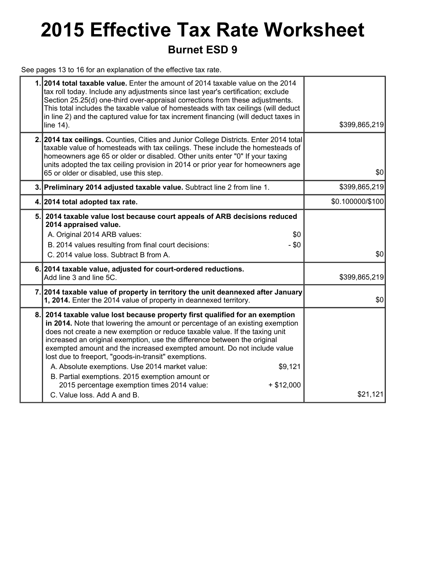## **2015 Effective Tax Rate Worksheet Burnet ESD 9**

See pages 13 to 16 for an explanation of the effective tax rate.

|     | 1.2014 total taxable value. Enter the amount of 2014 taxable value on the 2014<br>tax roll today. Include any adjustments since last year's certification; exclude<br>Section 25.25(d) one-third over-appraisal corrections from these adjustments.<br>This total includes the taxable value of homesteads with tax ceilings (will deduct<br>in line 2) and the captured value for tax increment financing (will deduct taxes in<br>line 14).                                                                                                                                                                                                                         | \$399,865,219    |
|-----|-----------------------------------------------------------------------------------------------------------------------------------------------------------------------------------------------------------------------------------------------------------------------------------------------------------------------------------------------------------------------------------------------------------------------------------------------------------------------------------------------------------------------------------------------------------------------------------------------------------------------------------------------------------------------|------------------|
|     | 2. 2014 tax ceilings. Counties, Cities and Junior College Districts. Enter 2014 total<br>taxable value of homesteads with tax ceilings. These include the homesteads of<br>homeowners age 65 or older or disabled. Other units enter "0" If your taxing<br>units adopted the tax ceiling provision in 2014 or prior year for homeowners age<br>65 or older or disabled, use this step.                                                                                                                                                                                                                                                                                | \$0              |
|     | 3. Preliminary 2014 adjusted taxable value. Subtract line 2 from line 1.                                                                                                                                                                                                                                                                                                                                                                                                                                                                                                                                                                                              | \$399,865,219    |
|     | 4. 2014 total adopted tax rate.                                                                                                                                                                                                                                                                                                                                                                                                                                                                                                                                                                                                                                       | \$0.100000/\$100 |
| 5.1 | 2014 taxable value lost because court appeals of ARB decisions reduced<br>2014 appraised value.<br>A. Original 2014 ARB values:<br>\$0<br>$- $0$<br>B. 2014 values resulting from final court decisions:<br>C. 2014 value loss. Subtract B from A.                                                                                                                                                                                                                                                                                                                                                                                                                    | \$0              |
|     | 6. 2014 taxable value, adjusted for court-ordered reductions.<br>Add line 3 and line 5C.                                                                                                                                                                                                                                                                                                                                                                                                                                                                                                                                                                              | \$399,865,219    |
|     | 7. 2014 taxable value of property in territory the unit deannexed after January<br>1, 2014. Enter the 2014 value of property in deannexed territory.                                                                                                                                                                                                                                                                                                                                                                                                                                                                                                                  | \$0              |
| 8.  | 2014 taxable value lost because property first qualified for an exemption<br>in 2014. Note that lowering the amount or percentage of an existing exemption<br>does not create a new exemption or reduce taxable value. If the taxing unit<br>increased an original exemption, use the difference between the original<br>exempted amount and the increased exempted amount. Do not include value<br>lost due to freeport, "goods-in-transit" exemptions.<br>A. Absolute exemptions. Use 2014 market value:<br>\$9,121<br>B. Partial exemptions. 2015 exemption amount or<br>2015 percentage exemption times 2014 value:<br>$+ $12,000$<br>C. Value loss, Add A and B. | \$21,121         |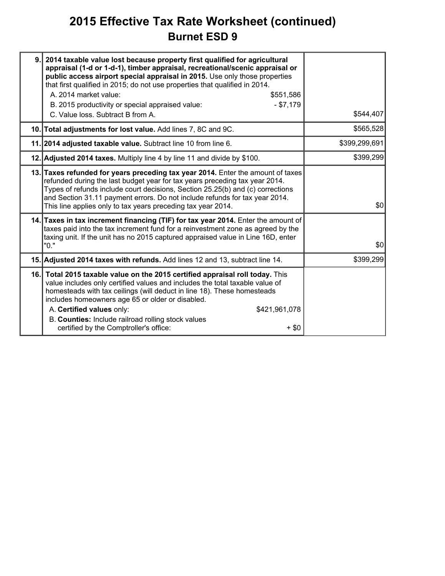### **2015 Effective Tax Rate Worksheet (continued) Burnet ESD 9**

| 9. | 2014 taxable value lost because property first qualified for agricultural<br>appraisal (1-d or 1-d-1), timber appraisal, recreational/scenic appraisal or<br>public access airport special appraisal in 2015. Use only those properties<br>that first qualified in 2015; do not use properties that qualified in 2014.<br>A. 2014 market value:<br>\$551,586<br>$- $7,179$<br>B. 2015 productivity or special appraised value:<br>C. Value loss. Subtract B from A. | \$544,407     |
|----|---------------------------------------------------------------------------------------------------------------------------------------------------------------------------------------------------------------------------------------------------------------------------------------------------------------------------------------------------------------------------------------------------------------------------------------------------------------------|---------------|
|    | 10. Total adjustments for lost value. Add lines 7, 8C and 9C.                                                                                                                                                                                                                                                                                                                                                                                                       | \$565,528     |
|    | 11. 2014 adjusted taxable value. Subtract line 10 from line 6.                                                                                                                                                                                                                                                                                                                                                                                                      | \$399,299,691 |
|    | 12. Adjusted 2014 taxes. Multiply line 4 by line 11 and divide by \$100.                                                                                                                                                                                                                                                                                                                                                                                            | \$399,299     |
|    | 13. Taxes refunded for years preceding tax year 2014. Enter the amount of taxes<br>refunded during the last budget year for tax years preceding tax year 2014.<br>Types of refunds include court decisions, Section 25.25(b) and (c) corrections<br>and Section 31.11 payment errors. Do not include refunds for tax year 2014.<br>This line applies only to tax years preceding tax year 2014.                                                                     | \$0           |
|    | 14. Taxes in tax increment financing (TIF) for tax year 2014. Enter the amount of<br>taxes paid into the tax increment fund for a reinvestment zone as agreed by the<br>taxing unit. If the unit has no 2015 captured appraised value in Line 16D, enter<br>"0."                                                                                                                                                                                                    | \$0           |
|    | 15. Adjusted 2014 taxes with refunds. Add lines 12 and 13, subtract line 14.                                                                                                                                                                                                                                                                                                                                                                                        | \$399,299     |
|    | 16. Total 2015 taxable value on the 2015 certified appraisal roll today. This<br>value includes only certified values and includes the total taxable value of<br>homesteads with tax ceilings (will deduct in line 18). These homesteads<br>includes homeowners age 65 or older or disabled.<br>A. Certified values only:<br>\$421,961,078<br>B. Counties: Include railroad rolling stock values<br>certified by the Comptroller's office:<br>$+$ \$0               |               |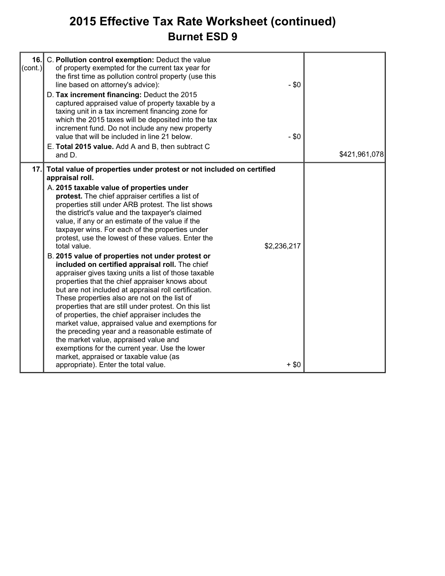### **2015 Effective Tax Rate Worksheet (continued) Burnet ESD 9**

| $\text{(cont.)}$ | 16. C. Pollution control exemption: Deduct the value<br>of property exempted for the current tax year for<br>the first time as pollution control property (use this<br>line based on attorney's advice):<br>D. Tax increment financing: Deduct the 2015<br>captured appraised value of property taxable by a<br>taxing unit in a tax increment financing zone for<br>which the 2015 taxes will be deposited into the tax<br>increment fund. Do not include any new property<br>value that will be included in line 21 below.<br>E. Total 2015 value. Add A and B, then subtract C<br>and D.                                                                                                                                                                                                                                                                                                                                                                                                                                                                                                                                                                                                                   | $-$ \$0<br>$-$ \$0     | \$421,961,078 |
|------------------|---------------------------------------------------------------------------------------------------------------------------------------------------------------------------------------------------------------------------------------------------------------------------------------------------------------------------------------------------------------------------------------------------------------------------------------------------------------------------------------------------------------------------------------------------------------------------------------------------------------------------------------------------------------------------------------------------------------------------------------------------------------------------------------------------------------------------------------------------------------------------------------------------------------------------------------------------------------------------------------------------------------------------------------------------------------------------------------------------------------------------------------------------------------------------------------------------------------|------------------------|---------------|
|                  |                                                                                                                                                                                                                                                                                                                                                                                                                                                                                                                                                                                                                                                                                                                                                                                                                                                                                                                                                                                                                                                                                                                                                                                                               |                        |               |
|                  | 17. Total value of properties under protest or not included on certified<br>appraisal roll.<br>A. 2015 taxable value of properties under<br>protest. The chief appraiser certifies a list of<br>properties still under ARB protest. The list shows<br>the district's value and the taxpayer's claimed<br>value, if any or an estimate of the value if the<br>taxpayer wins. For each of the properties under<br>protest, use the lowest of these values. Enter the<br>total value.<br>B. 2015 value of properties not under protest or<br>included on certified appraisal roll. The chief<br>appraiser gives taxing units a list of those taxable<br>properties that the chief appraiser knows about<br>but are not included at appraisal roll certification.<br>These properties also are not on the list of<br>properties that are still under protest. On this list<br>of properties, the chief appraiser includes the<br>market value, appraised value and exemptions for<br>the preceding year and a reasonable estimate of<br>the market value, appraised value and<br>exemptions for the current year. Use the lower<br>market, appraised or taxable value (as<br>appropriate). Enter the total value. | \$2,236,217<br>$+$ \$0 |               |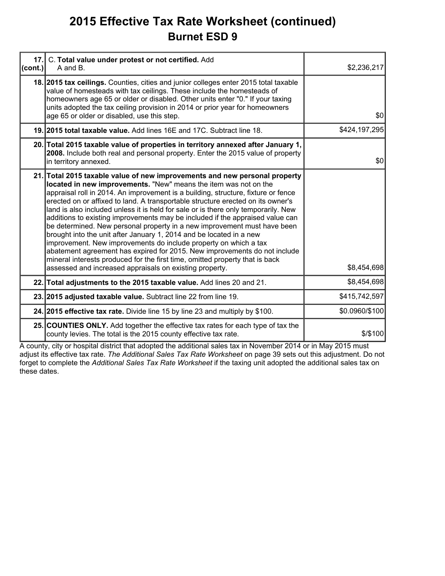### **2015 Effective Tax Rate Worksheet (continued) Burnet ESD 9**

| 17.<br>(cont.) | C. Total value under protest or not certified. Add<br>A and B.                                                                                                                                                                                                                                                                                                                                                                                                                                                                                                                                                                                                                                                                                                                                                                                                                                                                               | \$2,236,217    |
|----------------|----------------------------------------------------------------------------------------------------------------------------------------------------------------------------------------------------------------------------------------------------------------------------------------------------------------------------------------------------------------------------------------------------------------------------------------------------------------------------------------------------------------------------------------------------------------------------------------------------------------------------------------------------------------------------------------------------------------------------------------------------------------------------------------------------------------------------------------------------------------------------------------------------------------------------------------------|----------------|
|                | 18. 2015 tax cellings. Counties, cities and junior colleges enter 2015 total taxable<br>value of homesteads with tax ceilings. These include the homesteads of<br>homeowners age 65 or older or disabled. Other units enter "0." If your taxing<br>units adopted the tax ceiling provision in 2014 or prior year for homeowners<br>age 65 or older or disabled, use this step.                                                                                                                                                                                                                                                                                                                                                                                                                                                                                                                                                               | \$0            |
|                | 19. 2015 total taxable value. Add lines 16E and 17C. Subtract line 18.                                                                                                                                                                                                                                                                                                                                                                                                                                                                                                                                                                                                                                                                                                                                                                                                                                                                       | \$424,197,295  |
|                | 20. Total 2015 taxable value of properties in territory annexed after January 1,<br>2008. Include both real and personal property. Enter the 2015 value of property<br>in territory annexed.                                                                                                                                                                                                                                                                                                                                                                                                                                                                                                                                                                                                                                                                                                                                                 | \$0            |
|                | 21. Total 2015 taxable value of new improvements and new personal property<br>located in new improvements. "New" means the item was not on the<br>appraisal roll in 2014. An improvement is a building, structure, fixture or fence<br>erected on or affixed to land. A transportable structure erected on its owner's<br>land is also included unless it is held for sale or is there only temporarily. New<br>additions to existing improvements may be included if the appraised value can<br>be determined. New personal property in a new improvement must have been<br>brought into the unit after January 1, 2014 and be located in a new<br>improvement. New improvements do include property on which a tax<br>abatement agreement has expired for 2015. New improvements do not include<br>mineral interests produced for the first time, omitted property that is back<br>assessed and increased appraisals on existing property. | \$8,454,698    |
|                | 22. Total adjustments to the 2015 taxable value. Add lines 20 and 21.                                                                                                                                                                                                                                                                                                                                                                                                                                                                                                                                                                                                                                                                                                                                                                                                                                                                        | \$8,454,698    |
|                | 23. 2015 adjusted taxable value. Subtract line 22 from line 19.                                                                                                                                                                                                                                                                                                                                                                                                                                                                                                                                                                                                                                                                                                                                                                                                                                                                              | \$415,742,597  |
|                | 24. 2015 effective tax rate. Divide line 15 by line 23 and multiply by \$100.                                                                                                                                                                                                                                                                                                                                                                                                                                                                                                                                                                                                                                                                                                                                                                                                                                                                | \$0.0960/\$100 |
|                | 25. COUNTIES ONLY. Add together the effective tax rates for each type of tax the<br>county levies. The total is the 2015 county effective tax rate.                                                                                                                                                                                                                                                                                                                                                                                                                                                                                                                                                                                                                                                                                                                                                                                          | \$/\$100       |

A county, city or hospital district that adopted the additional sales tax in November 2014 or in May 2015 must adjust its effective tax rate. *The Additional Sales Tax Rate Worksheet* on page 39 sets out this adjustment. Do not forget to complete the *Additional Sales Tax Rate Worksheet* if the taxing unit adopted the additional sales tax on these dates.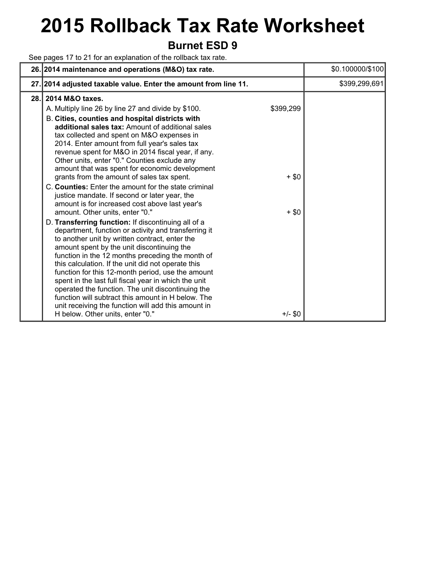# **2015 Rollback Tax Rate Worksheet**

### **Burnet ESD 9**

See pages 17 to 21 for an explanation of the rollback tax rate.

|     | 26. 2014 maintenance and operations (M&O) tax rate.                                                                                                                                                                                                                                                                                                                                                                                                                                                                                                                                                                                                                                                                                                                                                                                                                                                                                                                                                                                                                                                                                                                                                                                                                                                                          |                                            | \$0.100000/\$100 |
|-----|------------------------------------------------------------------------------------------------------------------------------------------------------------------------------------------------------------------------------------------------------------------------------------------------------------------------------------------------------------------------------------------------------------------------------------------------------------------------------------------------------------------------------------------------------------------------------------------------------------------------------------------------------------------------------------------------------------------------------------------------------------------------------------------------------------------------------------------------------------------------------------------------------------------------------------------------------------------------------------------------------------------------------------------------------------------------------------------------------------------------------------------------------------------------------------------------------------------------------------------------------------------------------------------------------------------------------|--------------------------------------------|------------------|
|     | 27. 2014 adjusted taxable value. Enter the amount from line 11.                                                                                                                                                                                                                                                                                                                                                                                                                                                                                                                                                                                                                                                                                                                                                                                                                                                                                                                                                                                                                                                                                                                                                                                                                                                              |                                            | \$399,299,691    |
| 28. | 2014 M&O taxes.<br>A. Multiply line 26 by line 27 and divide by \$100.<br>B. Cities, counties and hospital districts with<br>additional sales tax: Amount of additional sales<br>tax collected and spent on M&O expenses in<br>2014. Enter amount from full year's sales tax<br>revenue spent for M&O in 2014 fiscal year, if any.<br>Other units, enter "0." Counties exclude any<br>amount that was spent for economic development<br>grants from the amount of sales tax spent.<br>C. Counties: Enter the amount for the state criminal<br>justice mandate. If second or later year, the<br>amount is for increased cost above last year's<br>amount. Other units, enter "0."<br>D. Transferring function: If discontinuing all of a<br>department, function or activity and transferring it<br>to another unit by written contract, enter the<br>amount spent by the unit discontinuing the<br>function in the 12 months preceding the month of<br>this calculation. If the unit did not operate this<br>function for this 12-month period, use the amount<br>spent in the last full fiscal year in which the unit<br>operated the function. The unit discontinuing the<br>function will subtract this amount in H below. The<br>unit receiving the function will add this amount in<br>H below. Other units, enter "0." | \$399,299<br>$+$ \$0<br>$+$ \$0<br>+/- \$0 |                  |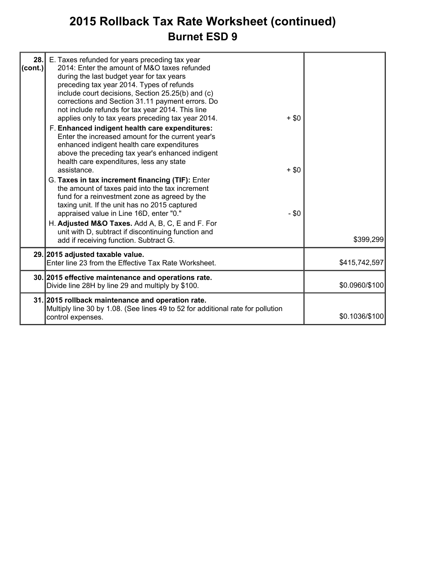### **2015 Rollback Tax Rate Worksheet (continued) Burnet ESD 9**

| 28.1<br> cont. | E. Taxes refunded for years preceding tax year<br>2014: Enter the amount of M&O taxes refunded<br>during the last budget year for tax years<br>preceding tax year 2014. Types of refunds<br>include court decisions, Section 25.25(b) and (c)<br>corrections and Section 31.11 payment errors. Do<br>not include refunds for tax year 2014. This line<br>applies only to tax years preceding tax year 2014.<br>F. Enhanced indigent health care expenditures:<br>Enter the increased amount for the current year's<br>enhanced indigent health care expenditures<br>above the preceding tax year's enhanced indigent<br>health care expenditures, less any state<br>assistance.<br>G. Taxes in tax increment financing (TIF): Enter<br>the amount of taxes paid into the tax increment<br>fund for a reinvestment zone as agreed by the<br>taxing unit. If the unit has no 2015 captured<br>appraised value in Line 16D, enter "0." | $+$ \$0<br>$+$ \$0<br>$- $0$ |                |
|----------------|-------------------------------------------------------------------------------------------------------------------------------------------------------------------------------------------------------------------------------------------------------------------------------------------------------------------------------------------------------------------------------------------------------------------------------------------------------------------------------------------------------------------------------------------------------------------------------------------------------------------------------------------------------------------------------------------------------------------------------------------------------------------------------------------------------------------------------------------------------------------------------------------------------------------------------------|------------------------------|----------------|
|                | H. Adjusted M&O Taxes. Add A, B, C, E and F. For<br>unit with D, subtract if discontinuing function and<br>add if receiving function. Subtract G.                                                                                                                                                                                                                                                                                                                                                                                                                                                                                                                                                                                                                                                                                                                                                                                   |                              | \$399,299      |
|                | 29. 2015 adjusted taxable value.<br>Enter line 23 from the Effective Tax Rate Worksheet.                                                                                                                                                                                                                                                                                                                                                                                                                                                                                                                                                                                                                                                                                                                                                                                                                                            |                              | \$415,742,597  |
|                | 30. 2015 effective maintenance and operations rate.<br>Divide line 28H by line 29 and multiply by \$100.                                                                                                                                                                                                                                                                                                                                                                                                                                                                                                                                                                                                                                                                                                                                                                                                                            |                              | \$0.0960/\$100 |
|                | 31. 2015 rollback maintenance and operation rate.<br>Multiply line 30 by 1.08. (See lines 49 to 52 for additional rate for pollution<br>control expenses.                                                                                                                                                                                                                                                                                                                                                                                                                                                                                                                                                                                                                                                                                                                                                                           |                              | \$0.1036/\$100 |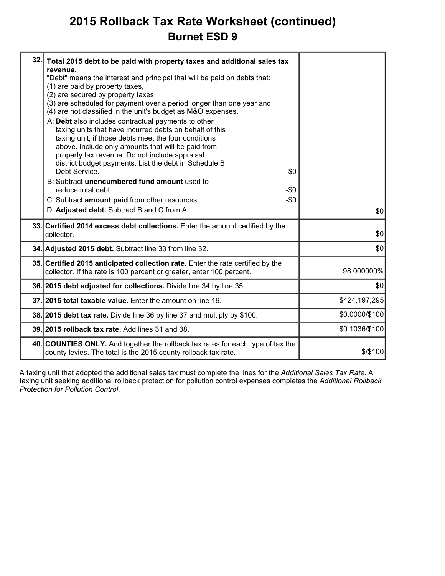### **2015 Rollback Tax Rate Worksheet (continued) Burnet ESD 9**

| 32. | Total 2015 debt to be paid with property taxes and additional sales tax<br>revenue.<br>"Debt" means the interest and principal that will be paid on debts that:<br>(1) are paid by property taxes,<br>(2) are secured by property taxes,<br>(3) are scheduled for payment over a period longer than one year and<br>(4) are not classified in the unit's budget as M&O expenses.<br>A: Debt also includes contractual payments to other<br>taxing units that have incurred debts on behalf of this<br>taxing unit, if those debts meet the four conditions<br>above. Include only amounts that will be paid from<br>property tax revenue. Do not include appraisal<br>district budget payments. List the debt in Schedule B:<br>Debt Service.<br>\$0<br>B: Subtract unencumbered fund amount used to<br>reduce total debt.<br>-\$0<br>C: Subtract amount paid from other resources.<br>$-\$0$<br>D: Adjusted debt. Subtract B and C from A. | \$0            |
|-----|---------------------------------------------------------------------------------------------------------------------------------------------------------------------------------------------------------------------------------------------------------------------------------------------------------------------------------------------------------------------------------------------------------------------------------------------------------------------------------------------------------------------------------------------------------------------------------------------------------------------------------------------------------------------------------------------------------------------------------------------------------------------------------------------------------------------------------------------------------------------------------------------------------------------------------------------|----------------|
|     | 33. Certified 2014 excess debt collections. Enter the amount certified by the<br>collector.                                                                                                                                                                                                                                                                                                                                                                                                                                                                                                                                                                                                                                                                                                                                                                                                                                                 | \$0            |
|     | 34. Adjusted 2015 debt. Subtract line 33 from line 32.                                                                                                                                                                                                                                                                                                                                                                                                                                                                                                                                                                                                                                                                                                                                                                                                                                                                                      | \$0            |
|     | 35. Certified 2015 anticipated collection rate. Enter the rate certified by the<br>collector. If the rate is 100 percent or greater, enter 100 percent.                                                                                                                                                                                                                                                                                                                                                                                                                                                                                                                                                                                                                                                                                                                                                                                     | 98.000000%     |
|     | 36. 2015 debt adjusted for collections. Divide line 34 by line 35.                                                                                                                                                                                                                                                                                                                                                                                                                                                                                                                                                                                                                                                                                                                                                                                                                                                                          | \$0            |
|     | 37. 2015 total taxable value. Enter the amount on line 19.                                                                                                                                                                                                                                                                                                                                                                                                                                                                                                                                                                                                                                                                                                                                                                                                                                                                                  | \$424,197,295  |
|     | 38. 2015 debt tax rate. Divide line 36 by line 37 and multiply by \$100.                                                                                                                                                                                                                                                                                                                                                                                                                                                                                                                                                                                                                                                                                                                                                                                                                                                                    | \$0.0000/\$100 |
|     | 39. 2015 rollback tax rate. Add lines 31 and 38.                                                                                                                                                                                                                                                                                                                                                                                                                                                                                                                                                                                                                                                                                                                                                                                                                                                                                            | \$0.1036/\$100 |
|     | 40. COUNTIES ONLY. Add together the rollback tax rates for each type of tax the<br>county levies. The total is the 2015 county rollback tax rate.                                                                                                                                                                                                                                                                                                                                                                                                                                                                                                                                                                                                                                                                                                                                                                                           | $$$ /\$100     |
|     |                                                                                                                                                                                                                                                                                                                                                                                                                                                                                                                                                                                                                                                                                                                                                                                                                                                                                                                                             |                |

A taxing unit that adopted the additional sales tax must complete the lines for the *Additional Sales Tax Rate*. A taxing unit seeking additional rollback protection for pollution control expenses completes the *Additional Rollback Protection for Pollution Control*.